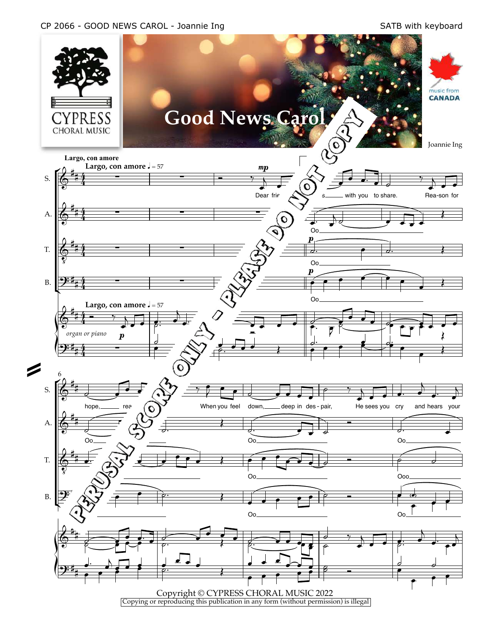## CP 2066 - GOOD NEWS CAROL - Joannie Ing SATB With keyboard

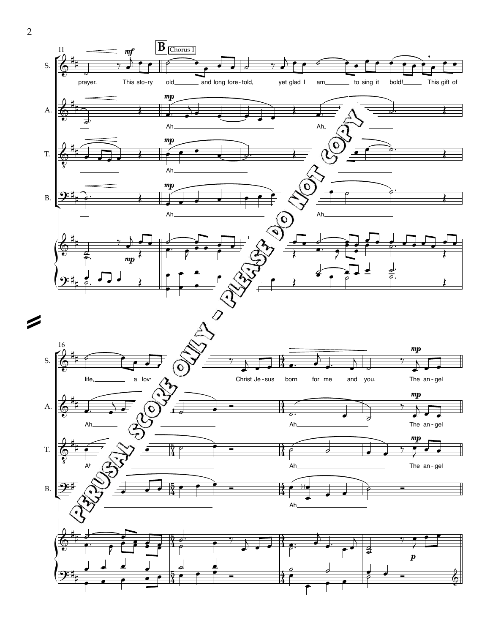

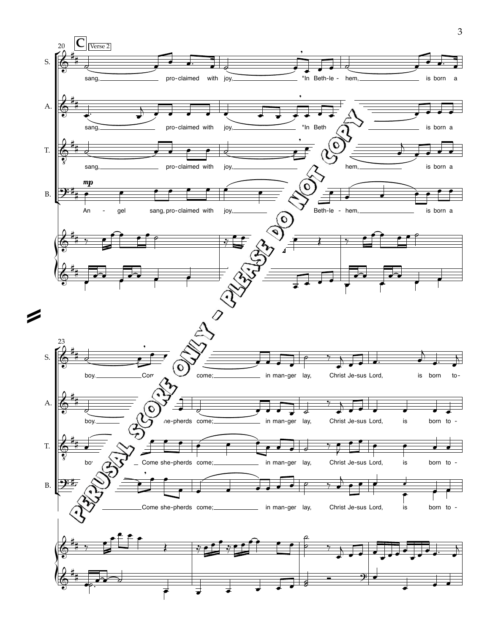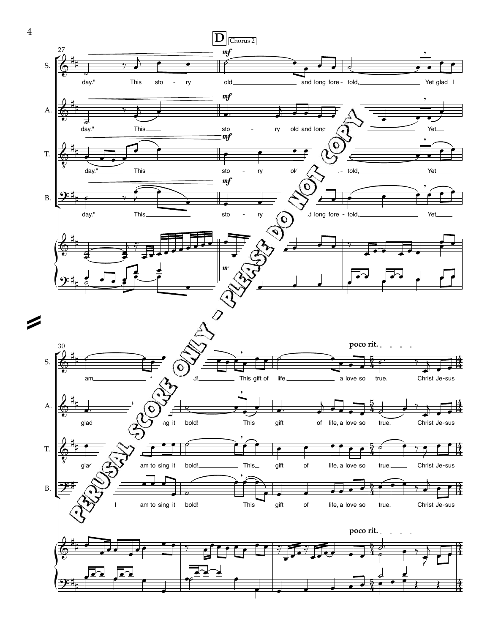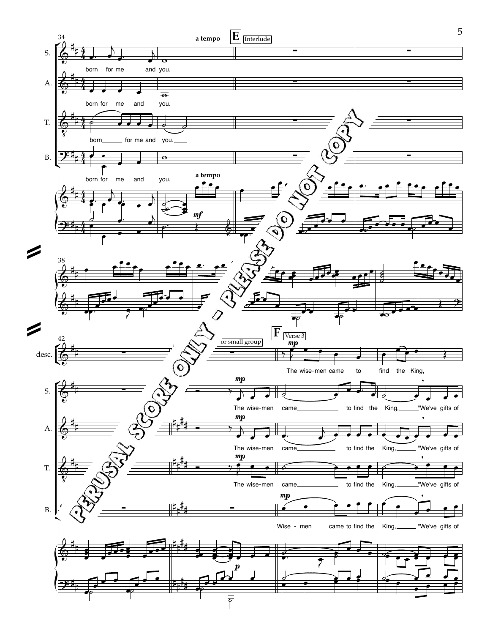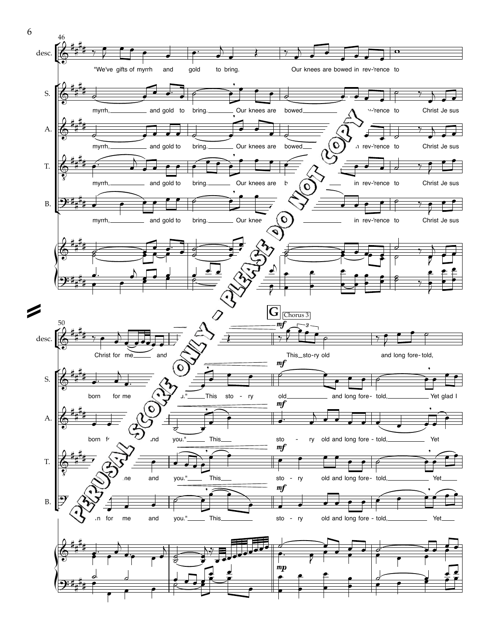

6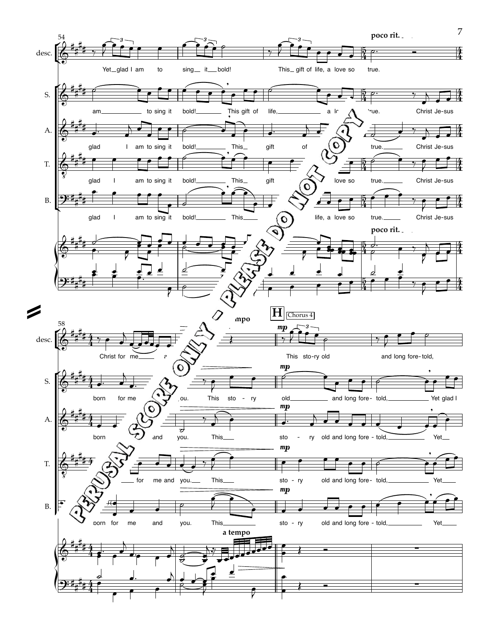